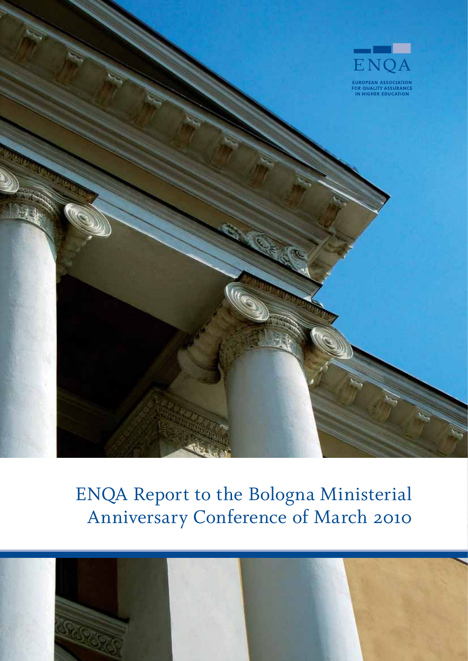

# ENQA Report to the Bologna Ministerial Anniversary Conference of March 2010

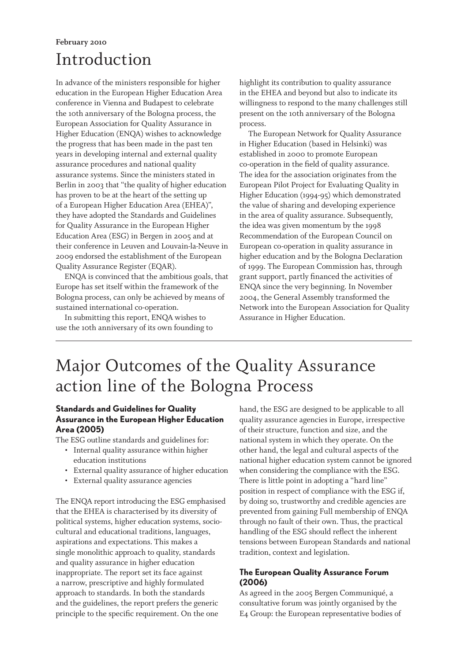### Introduction **February 2010**

In advance of the ministers responsible for higher education in the European Higher Education Area conference in Vienna and Budapest to celebrate the 10th anniversary of the Bologna process, the European Association for Quality Assurance in Higher Education (ENQA) wishes to acknowledge the progress that has been made in the past ten years in developing internal and external quality assurance procedures and national quality assurance systems. Since the ministers stated in Berlin in 2003 that "the quality of higher education has proven to be at the heart of the setting up of a European Higher Education Area (EHEA)", they have adopted the Standards and Guidelines for Quality Assurance in the European Higher Education Area (ESG) in Bergen in 2005 and at their conference in Leuven and Louvain-la-Neuve in 2009 endorsed the establishment of the European Quality Assurance Register (EQAR).

ENQA is convinced that the ambitious goals, that Europe has set itself within the framework of the Bologna process, can only be achieved by means of sustained international co-operation.

In submitting this report, ENQA wishes to use the 10th anniversary of its own founding to highlight its contribution to quality assurance in the EHEA and beyond but also to indicate its willingness to respond to the many challenges still present on the 10th anniversary of the Bologna process.

The European Network for Quality Assurance in Higher Education (based in Helsinki) was established in 2000 to promote European co-operation in the field of quality assurance. The idea for the association originates from the European Pilot Project for Evaluating Quality in Higher Education (1994-95) which demonstrated the value of sharing and developing experience in the area of quality assurance. Subsequently, the idea was given momentum by the 1998 Recommendation of the European Council on European co-operation in quality assurance in higher education and by the Bologna Declaration of 1999. The European Commission has, through grant support, partly financed the activities of ENQA since the very beginning. In November 2004, the General Assembly transformed the Network into the European Association for Quality Assurance in Higher Education.

### Major Outcomes of the Quality Assurance action line of the Bologna Process

#### **Standards and Guidelines for Quality Assurance in the European Higher Education Area (2005)**

The ESG outline standards and guidelines for:

- Internal quality assurance within higher education institutions
- External quality assurance of higher education
- External quality assurance agencies

The ENQA report introducing the ESG emphasised that the EHEA is characterised by its diversity of political systems, higher education systems, sociocultural and educational traditions, languages, aspirations and expectations. This makes a single monolithic approach to quality, standards and quality assurance in higher education inappropriate. The report set its face against a narrow, prescriptive and highly formulated approach to standards. In both the standards and the guidelines, the report prefers the generic principle to the specific requirement. On the one

hand, the ESG are designed to be applicable to all quality assurance agencies in Europe, irrespective of their structure, function and size, and the national system in which they operate. On the other hand, the legal and cultural aspects of the national higher education system cannot be ignored when considering the compliance with the ESG. There is little point in adopting a "hard line" position in respect of compliance with the ESG if, by doing so, trustworthy and credible agencies are prevented from gaining Full membership of ENQA through no fault of their own. Thus, the practical handling of the ESG should reflect the inherent tensions between European Standards and national tradition, context and legislation.

#### **The European Quality Assurance Forum (2006)**

As agreed in the 2005 Bergen Communiqué, a consultative forum was jointly organised by the E4 Group: the European representative bodies of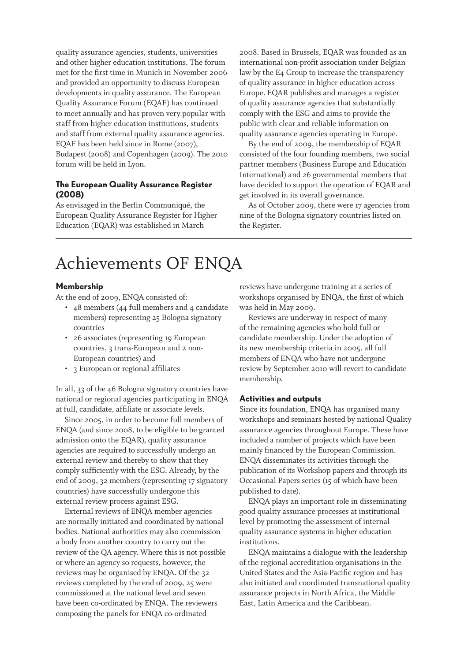quality assurance agencies, students, universities and other higher education institutions. The forum met for the first time in Munich in November 2006 and provided an opportunity to discuss European developments in quality assurance. The European Quality Assurance Forum (EQAF) has continued to meet annually and has proven very popular with staff from higher education institutions, students and staff from external quality assurance agencies. EQAF has been held since in Rome (2007), Budapest (2008) and Copenhagen (2009). The 2010 forum will be held in Lyon.

#### **The European Quality Assurance Register (2008)**

As envisaged in the Berlin Communiqué, the European Quality Assurance Register for Higher Education (EQAR) was established in March

2008. Based in Brussels, EQAR was founded as an international non-profit association under Belgian law by the E4 Group to increase the transparency of quality assurance in higher education across Europe. EQAR publishes and manages a register of quality assurance agencies that substantially comply with the ESG and aims to provide the public with clear and reliable information on quality assurance agencies operating in Europe.

By the end of 2009, the membership of EQAR consisted of the four founding members, two social partner members (Business Europe and Education International) and 26 governmental members that have decided to support the operation of EQAR and get involved in its overall governance.

As of October 2009, there were 17 agencies from nine of the Bologna signatory countries listed on the Register.

### Achievements OF ENQA

#### **Membership**

At the end of 2009, ENQA consisted of:

- 48 members (44 full members and 4 candidate members) representing 25 Bologna signatory countries
- 26 associates (representing 19 European countries, 3 trans-European and 2 non-European countries) and
- 3 European or regional affiliates

In all, 33 of the 46 Bologna signatory countries have national or regional agencies participating in ENQA at full, candidate, affiliate or associate levels.

Since 2005, in order to become full members of ENQA (and since 2008, to be eligible to be granted admission onto the EQAR), quality assurance agencies are required to successfully undergo an external review and thereby to show that they comply sufficiently with the ESG. Already, by the end of 2009, 32 members (representing 17 signatory countries) have successfully undergone this external review process against ESG.

External reviews of ENQA member agencies are normally initiated and coordinated by national bodies. National authorities may also commission a body from another country to carry out the review of the QA agency. Where this is not possible or where an agency so requests, however, the reviews may be organised by ENQA. Of the 32 reviews completed by the end of 2009, 25 were commissioned at the national level and seven have been co-ordinated by ENQA. The reviewers composing the panels for ENQA co-ordinated

reviews have undergone training at a series of workshops organised by ENQA, the first of which was held in May 2009.

Reviews are underway in respect of many of the remaining agencies who hold full or candidate membership. Under the adoption of its new membership criteria in 2005, all full members of ENQA who have not undergone review by September 2010 will revert to candidate membership.

#### **Activities and outputs**

Since its foundation, ENQA has organised many workshops and seminars hosted by national Quality assurance agencies throughout Europe. These have included a number of projects which have been mainly financed by the European Commission. ENQA disseminates its activities through the publication of its Workshop papers and through its Occasional Papers series (15 of which have been published to date).

ENQA plays an important role in disseminating good quality assurance processes at institutional level by promoting the assessment of internal quality assurance systems in higher education institutions.

ENQA maintains a dialogue with the leadership of the regional accreditation organisations in the United States and the Asia-Pacific region and has also initiated and coordinated transnational quality assurance projects in North Africa, the Middle East, Latin America and the Caribbean.